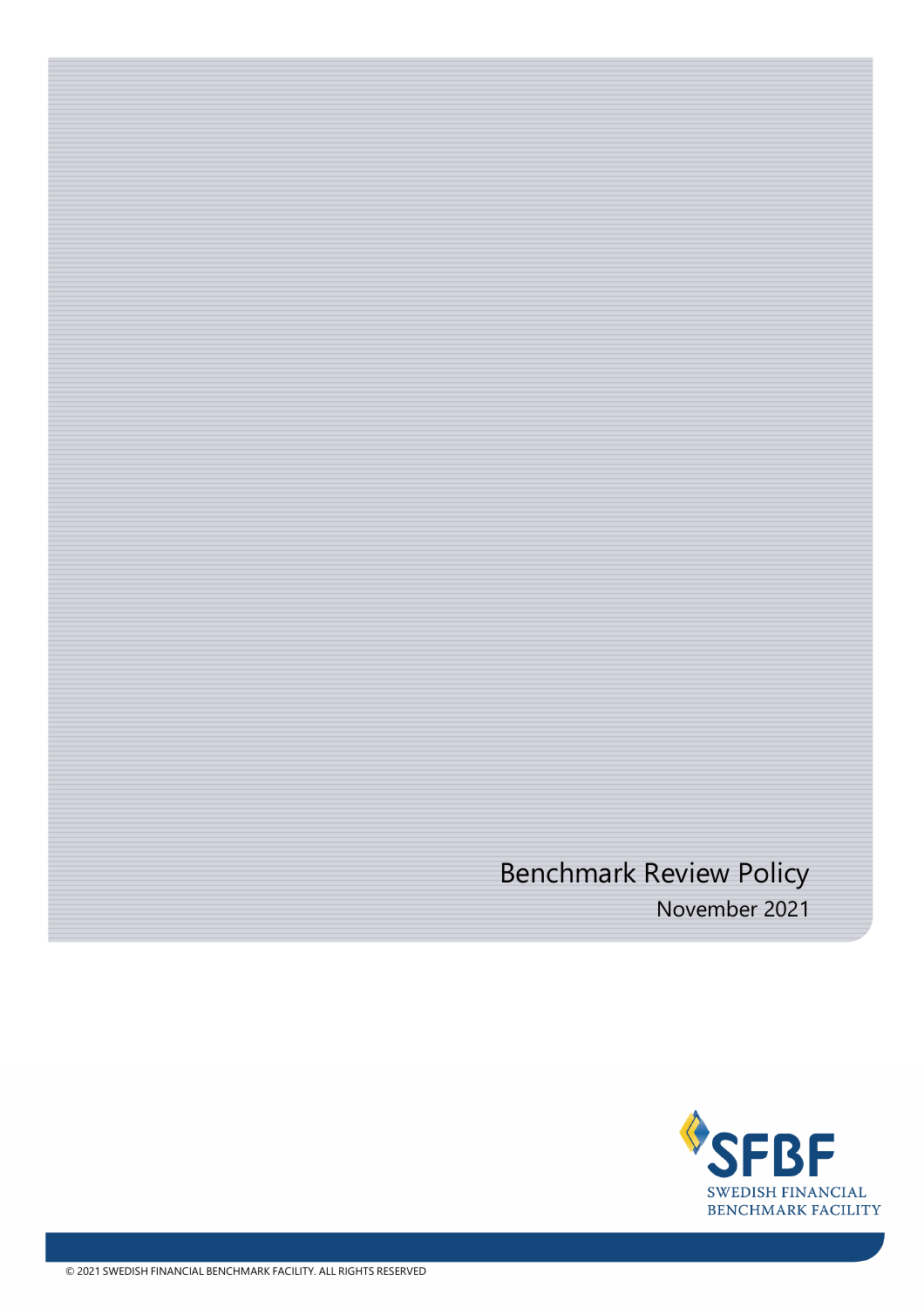# Benchmark Review Policy November 2021

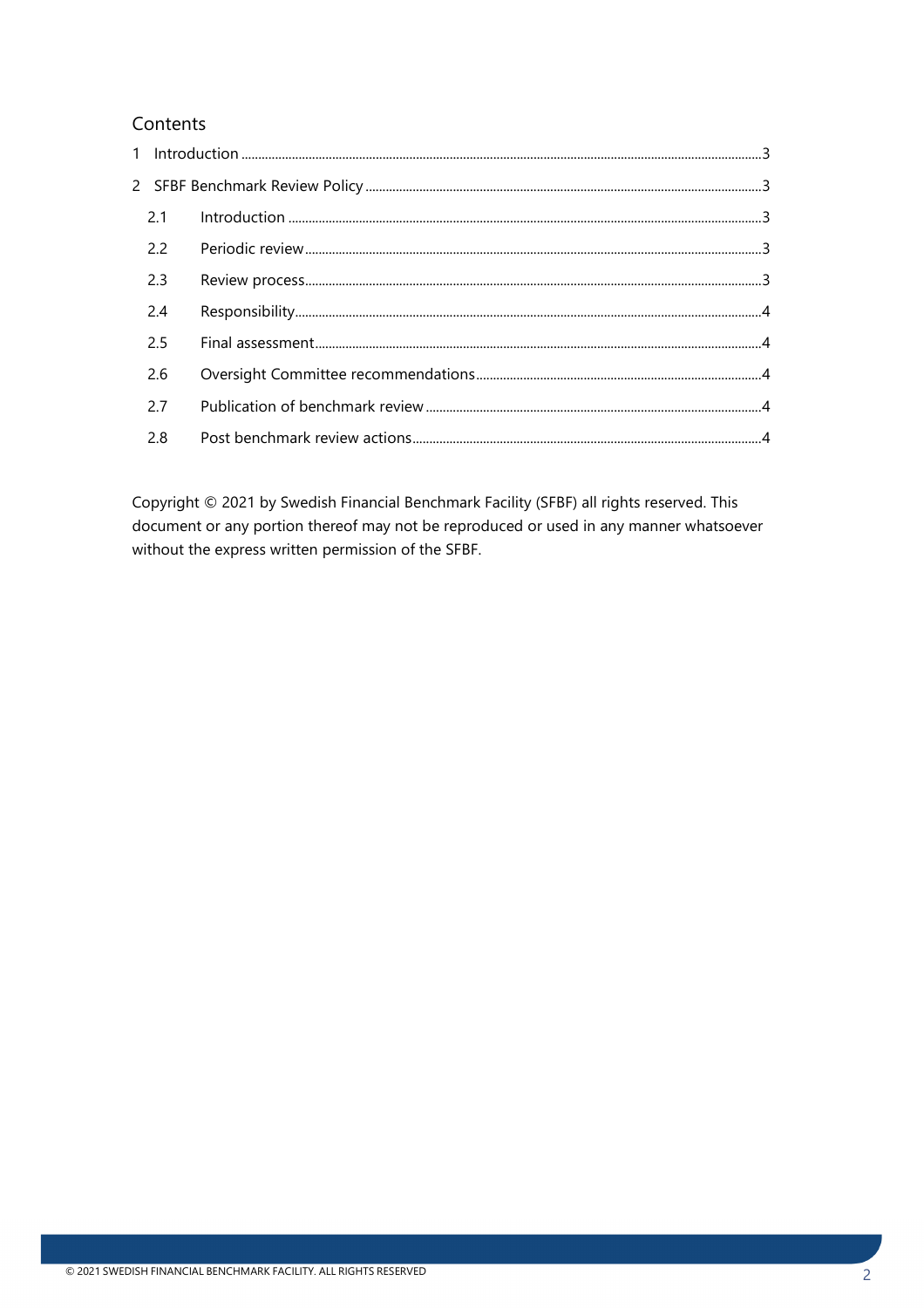### Contents

| 2.1 |  |
|-----|--|
| 2.2 |  |
| 2.3 |  |
| 2.4 |  |
| 2.5 |  |
| 2.6 |  |
| 2.7 |  |
| 2.8 |  |

Copyright © 2021 by Swedish Financial Benchmark Facility (SFBF) all rights reserved. This document or any portion thereof may not be reproduced or used in any manner whatsoever without the express written permission of the SFBF.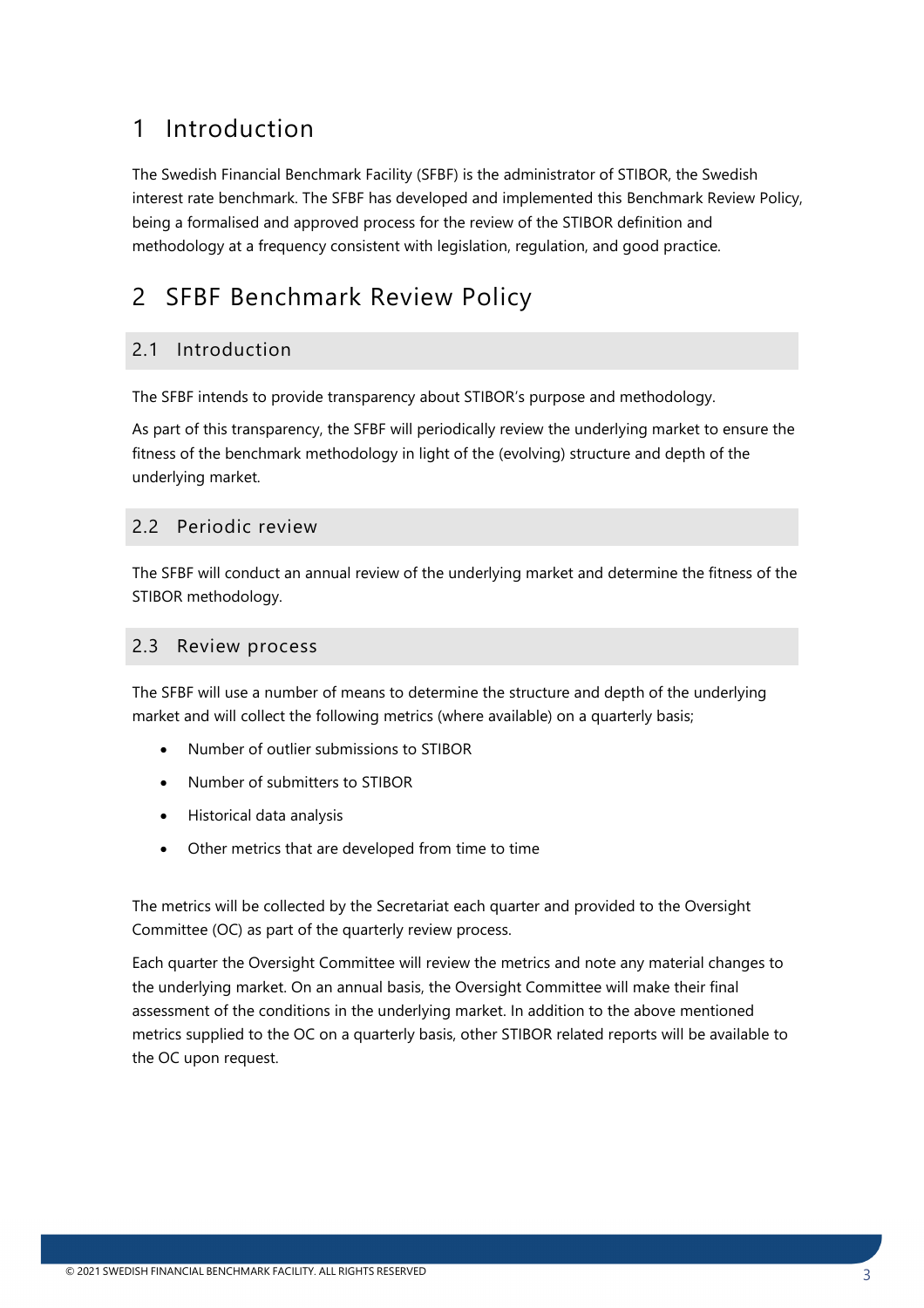# <span id="page-2-0"></span>1 Introduction

The Swedish Financial Benchmark Facility (SFBF) is the administrator of STIBOR, the Swedish interest rate benchmark. The SFBF has developed and implemented this Benchmark Review Policy, being a formalised and approved process for the review of the STIBOR definition and methodology at a frequency consistent with legislation, regulation, and good practice.

# <span id="page-2-1"></span>2 SFBF Benchmark Review Policy

## <span id="page-2-2"></span>2.1 Introduction

The SFBF intends to provide transparency about STIBOR's purpose and methodology.

As part of this transparency, the SFBF will periodically review the underlying market to ensure the fitness of the benchmark methodology in light of the (evolving) structure and depth of the underlying market.

#### <span id="page-2-3"></span>2.2 Periodic review

The SFBF will conduct an annual review of the underlying market and determine the fitness of the STIBOR methodology.

#### <span id="page-2-4"></span>2.3 Review process

The SFBF will use a number of means to determine the structure and depth of the underlying market and will collect the following metrics (where available) on a quarterly basis;

- Number of outlier submissions to STIBOR
- Number of submitters to STIBOR
- Historical data analysis
- Other metrics that are developed from time to time

The metrics will be collected by the Secretariat each quarter and provided to the Oversight Committee (OC) as part of the quarterly review process.

Each quarter the Oversight Committee will review the metrics and note any material changes to the underlying market. On an annual basis, the Oversight Committee will make their final assessment of the conditions in the underlying market. In addition to the above mentioned metrics supplied to the OC on a quarterly basis, other STIBOR related reports will be available to the OC upon request.